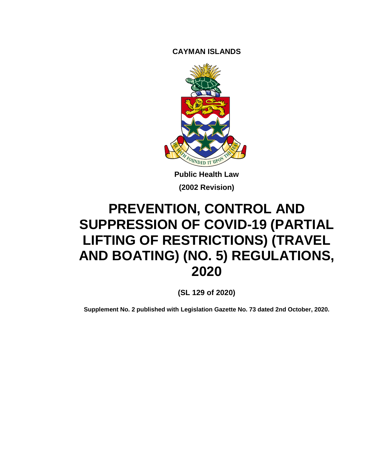**CAYMAN ISLANDS**



**Public Health Law (2002 Revision)**

# **PREVENTION, CONTROL AND SUPPRESSION OF COVID-19 (PARTIAL LIFTING OF RESTRICTIONS) (TRAVEL AND BOATING) (NO. 5) REGULATIONS, 2020**

**(SL 129 of 2020)**

**Supplement No. 2 published with Legislation Gazette No. 73 dated 2nd October, 2020.**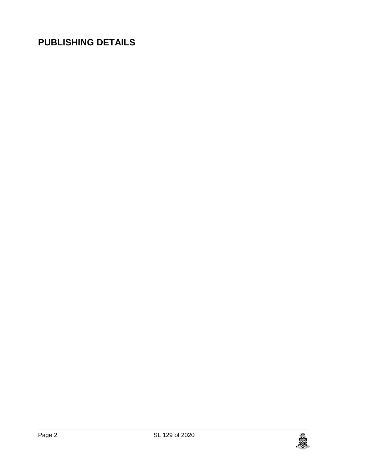# **PUBLISHING DETAILS**

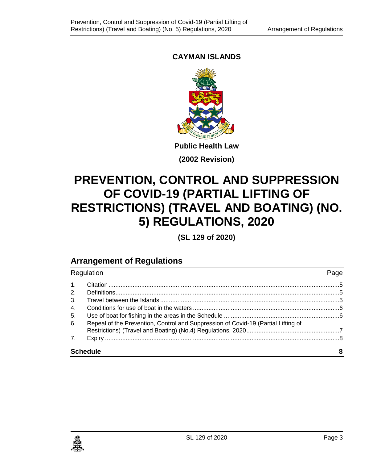# **CAYMAN ISLANDS**



**(2002 Revision)**

# **PREVENTION, CONTROL AND SUPPRESSION OF COVID-19 (PARTIAL LIFTING OF RESTRICTIONS) (TRAVEL AND BOATING) (NO. 5) REGULATIONS, 2020**

**(SL 129 of 2020)**

# **Arrangement of Regulations**

| Regulation      |                                                                                   | Page |
|-----------------|-----------------------------------------------------------------------------------|------|
| 1 <sub>1</sub>  |                                                                                   |      |
| 2.              |                                                                                   |      |
| 3 <sub>1</sub>  |                                                                                   |      |
| 4.              |                                                                                   |      |
| 5.              |                                                                                   |      |
| 6.              | Repeal of the Prevention, Control and Suppression of Covid-19 (Partial Lifting of |      |
| 7 <sub>1</sub>  |                                                                                   |      |
| <b>Schedule</b> |                                                                                   | 8    |

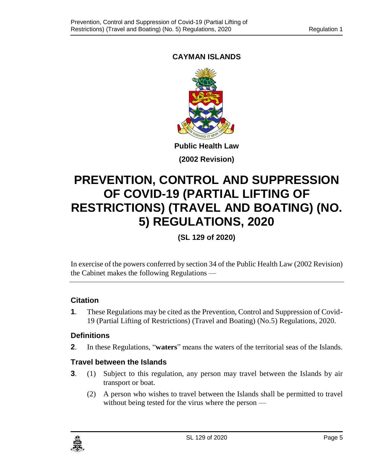# **CAYMAN ISLANDS**



**(2002 Revision)**

# **PREVENTION, CONTROL AND SUPPRESSION OF COVID-19 (PARTIAL LIFTING OF RESTRICTIONS) (TRAVEL AND BOATING) (NO. 5) REGULATIONS, 2020**

**(SL 129 of 2020)**

In exercise of the powers conferred by section 34 of the Public Health Law (2002 Revision) the Cabinet makes the following Regulations —

### <span id="page-4-0"></span>**1. Citation**

**1**. These Regulations may be cited as the Prevention, Control and Suppression of Covid-19 (Partial Lifting of Restrictions) (Travel and Boating) (No.5) Regulations, 2020.

### <span id="page-4-1"></span>**2. Definitions**

**2**. In these Regulations, "**waters**" means the waters of the territorial seas of the Islands.

### <span id="page-4-2"></span>**3. Travel between the Islands**

- **3**. (1) Subject to this regulation, any person may travel between the Islands by air transport or boat.
	- (2) A person who wishes to travel between the Islands shall be permitted to travel without being tested for the virus where the person —

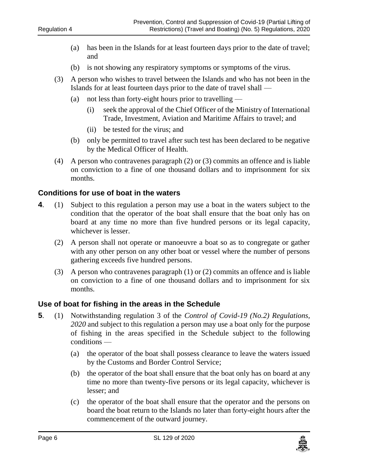- (a) has been in the Islands for at least fourteen days prior to the date of travel; and
- (b) is not showing any respiratory symptoms or symptoms of the virus.
- (3) A person who wishes to travel between the Islands and who has not been in the Islands for at least fourteen days prior to the date of travel shall —
	- (a) not less than forty-eight hours prior to travelling
		- (i) seek the approval of the Chief Officer of the Ministry of International Trade, Investment, Aviation and Maritime Affairs to travel; and
		- (ii) be tested for the virus; and
	- (b) only be permitted to travel after such test has been declared to be negative by the Medical Officer of Health.
- (4) A person who contravenes paragraph (2) or (3) commits an offence and is liable on conviction to a fine of one thousand dollars and to imprisonment for six months.

#### <span id="page-5-0"></span>**4. Conditions for use of boat in the waters**

- **4**. (1) Subject to this regulation a person may use a boat in the waters subject to the condition that the operator of the boat shall ensure that the boat only has on board at any time no more than five hundred persons or its legal capacity, whichever is lesser.
	- (2) A person shall not operate or manoeuvre a boat so as to congregate or gather with any other person on any other boat or vessel where the number of persons gathering exceeds five hundred persons.
	- (3) A person who contravenes paragraph (1) or (2) commits an offence and is liable on conviction to a fine of one thousand dollars and to imprisonment for six months.

#### <span id="page-5-1"></span>**5. Use of boat for fishing in the areas in the Schedule**

- **5**. (1) Notwithstanding regulation 3 of the *Control of Covid-19 (No.2) Regulations, 2020* and subject to this regulation a person may use a boat only for the purpose of fishing in the areas specified in the Schedule subject to the following conditions —
	- (a) the operator of the boat shall possess clearance to leave the waters issued by the Customs and Border Control Service;
	- (b) the operator of the boat shall ensure that the boat only has on board at any time no more than twenty-five persons or its legal capacity, whichever is lesser; and
	- (c) the operator of the boat shall ensure that the operator and the persons on board the boat return to the Islands no later than forty-eight hours after the commencement of the outward journey.

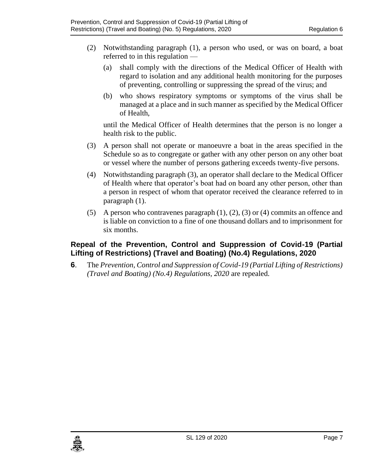- (2) Notwithstanding paragraph (1), a person who used, or was on board, a boat referred to in this regulation —
	- (a) shall comply with the directions of the Medical Officer of Health with regard to isolation and any additional health monitoring for the purposes of preventing, controlling or suppressing the spread of the virus; and
	- (b) who shows respiratory symptoms or symptoms of the virus shall be managed at a place and in such manner as specified by the Medical Officer of Health,

until the Medical Officer of Health determines that the person is no longer a health risk to the public.

- (3) A person shall not operate or manoeuvre a boat in the areas specified in the Schedule so as to congregate or gather with any other person on any other boat or vessel where the number of persons gathering exceeds twenty-five persons.
- (4) Notwithstanding paragraph (3), an operator shall declare to the Medical Officer of Health where that operator's boat had on board any other person, other than a person in respect of whom that operator received the clearance referred to in paragraph (1).
- (5) A person who contravenes paragraph  $(1)$ ,  $(2)$ ,  $(3)$  or  $(4)$  commits an offence and is liable on conviction to a fine of one thousand dollars and to imprisonment for six months.

## <span id="page-6-0"></span>**6. Repeal of the Prevention, Control and Suppression of Covid-19 (Partial Lifting of Restrictions) (Travel and Boating) (No.4) Regulations, 2020**

**6**. The *Prevention, Control and Suppression of Covid-19 (Partial Lifting of Restrictions) (Travel and Boating) (No.4) Regulations, 2020* are repealed*.*